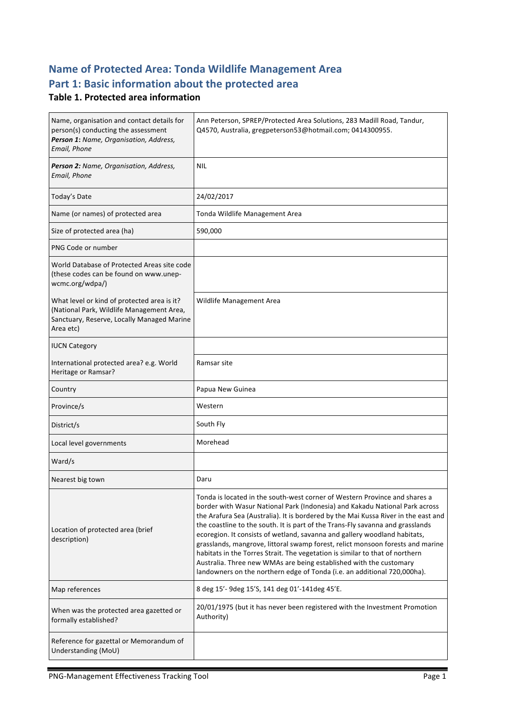## **Name of Protected Area: Tonda Wildlife Management Area** Part 1: Basic information about the protected area

#### **Table 1. Protected area information**

| Name, organisation and contact details for<br>person(s) conducting the assessment<br>Person 1: Name, Organisation, Address,<br>Email, Phone         | Ann Peterson, SPREP/Protected Area Solutions, 283 Madill Road, Tandur,<br>Q4570, Australia, gregpeterson53@hotmail.com; 0414300955.                                                                                                                                                                                                                                                                                                                                                                                                                                                                                                                                                                                                |
|-----------------------------------------------------------------------------------------------------------------------------------------------------|------------------------------------------------------------------------------------------------------------------------------------------------------------------------------------------------------------------------------------------------------------------------------------------------------------------------------------------------------------------------------------------------------------------------------------------------------------------------------------------------------------------------------------------------------------------------------------------------------------------------------------------------------------------------------------------------------------------------------------|
| Person 2: Name, Organisation, Address,<br>Email, Phone                                                                                              | <b>NIL</b>                                                                                                                                                                                                                                                                                                                                                                                                                                                                                                                                                                                                                                                                                                                         |
| Today's Date                                                                                                                                        | 24/02/2017                                                                                                                                                                                                                                                                                                                                                                                                                                                                                                                                                                                                                                                                                                                         |
| Name (or names) of protected area                                                                                                                   | Tonda Wildlife Management Area                                                                                                                                                                                                                                                                                                                                                                                                                                                                                                                                                                                                                                                                                                     |
| Size of protected area (ha)                                                                                                                         | 590,000                                                                                                                                                                                                                                                                                                                                                                                                                                                                                                                                                                                                                                                                                                                            |
| PNG Code or number                                                                                                                                  |                                                                                                                                                                                                                                                                                                                                                                                                                                                                                                                                                                                                                                                                                                                                    |
| World Database of Protected Areas site code<br>(these codes can be found on www.unep-<br>wcmc.org/wdpa/)                                            |                                                                                                                                                                                                                                                                                                                                                                                                                                                                                                                                                                                                                                                                                                                                    |
| What level or kind of protected area is it?<br>(National Park, Wildlife Management Area,<br>Sanctuary, Reserve, Locally Managed Marine<br>Area etc) | Wildlife Management Area                                                                                                                                                                                                                                                                                                                                                                                                                                                                                                                                                                                                                                                                                                           |
| <b>IUCN Category</b>                                                                                                                                |                                                                                                                                                                                                                                                                                                                                                                                                                                                                                                                                                                                                                                                                                                                                    |
| International protected area? e.g. World<br>Heritage or Ramsar?                                                                                     | Ramsar site                                                                                                                                                                                                                                                                                                                                                                                                                                                                                                                                                                                                                                                                                                                        |
| Country                                                                                                                                             | Papua New Guinea                                                                                                                                                                                                                                                                                                                                                                                                                                                                                                                                                                                                                                                                                                                   |
| Province/s                                                                                                                                          | Western                                                                                                                                                                                                                                                                                                                                                                                                                                                                                                                                                                                                                                                                                                                            |
| District/s                                                                                                                                          | South Fly                                                                                                                                                                                                                                                                                                                                                                                                                                                                                                                                                                                                                                                                                                                          |
| Local level governments                                                                                                                             | Morehead                                                                                                                                                                                                                                                                                                                                                                                                                                                                                                                                                                                                                                                                                                                           |
| Ward/s                                                                                                                                              |                                                                                                                                                                                                                                                                                                                                                                                                                                                                                                                                                                                                                                                                                                                                    |
| Nearest big town                                                                                                                                    | Daru                                                                                                                                                                                                                                                                                                                                                                                                                                                                                                                                                                                                                                                                                                                               |
| Location of protected area (brief<br>description)                                                                                                   | Tonda is located in the south-west corner of Western Province and shares a<br>border with Wasur National Park (Indonesia) and Kakadu National Park across<br>the Arafura Sea (Australia). It is bordered by the Mai Kussa River in the east and<br>the coastline to the south. It is part of the Trans-Fly savanna and grasslands<br>ecoregion. It consists of wetland, savanna and gallery woodland habitats,<br>grasslands, mangrove, littoral swamp forest, relict monsoon forests and marine<br>habitats in the Torres Strait. The vegetation is similar to that of northern<br>Australia. Three new WMAs are being established with the customary<br>landowners on the northern edge of Tonda (i.e. an additional 720,000ha). |
| Map references                                                                                                                                      | 8 deg 15'-9deg 15'S, 141 deg 01'-141deg 45'E.                                                                                                                                                                                                                                                                                                                                                                                                                                                                                                                                                                                                                                                                                      |
| When was the protected area gazetted or<br>formally established?                                                                                    | 20/01/1975 (but it has never been registered with the Investment Promotion<br>Authority)                                                                                                                                                                                                                                                                                                                                                                                                                                                                                                                                                                                                                                           |
| Reference for gazettal or Memorandum of<br>Understanding (MoU)                                                                                      |                                                                                                                                                                                                                                                                                                                                                                                                                                                                                                                                                                                                                                                                                                                                    |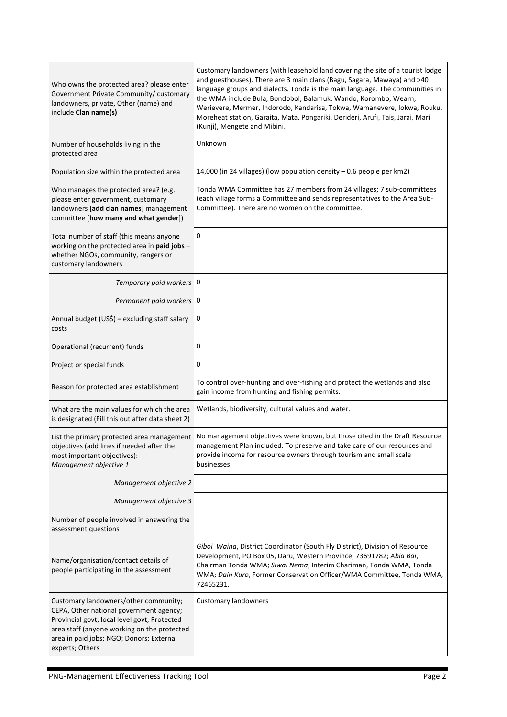| Who owns the protected area? please enter<br>Government Private Community/ customary<br>landowners, private, Other (name) and<br>include Clan name(s)                                                                                          | Customary landowners (with leasehold land covering the site of a tourist lodge<br>and guesthouses). There are 3 main clans (Bagu, Sagara, Mawaya) and >40<br>language groups and dialects. Tonda is the main language. The communities in<br>the WMA include Bula, Bondobol, Balamuk, Wando, Korombo, Wearn,<br>Werievere, Mermer, Indorodo, Kandarisa, Tokwa, Wamanevere, Iokwa, Rouku,<br>Moreheat station, Garaita, Mata, Pongariki, Derideri, Arufi, Tais, Jarai, Mari<br>(Kunji), Mengete and Mibini. |
|------------------------------------------------------------------------------------------------------------------------------------------------------------------------------------------------------------------------------------------------|------------------------------------------------------------------------------------------------------------------------------------------------------------------------------------------------------------------------------------------------------------------------------------------------------------------------------------------------------------------------------------------------------------------------------------------------------------------------------------------------------------|
| Number of households living in the<br>protected area                                                                                                                                                                                           | Unknown                                                                                                                                                                                                                                                                                                                                                                                                                                                                                                    |
| Population size within the protected area                                                                                                                                                                                                      | 14,000 (in 24 villages) (low population density - 0.6 people per km2)                                                                                                                                                                                                                                                                                                                                                                                                                                      |
| Who manages the protected area? (e.g.<br>please enter government, customary<br>landowners [add clan names] management<br>committee [how many and what gender])                                                                                 | Tonda WMA Committee has 27 members from 24 villages; 7 sub-committees<br>(each village forms a Committee and sends representatives to the Area Sub-<br>Committee). There are no women on the committee.                                                                                                                                                                                                                                                                                                    |
| Total number of staff (this means anyone<br>working on the protected area in paid jobs -<br>whether NGOs, community, rangers or<br>customary landowners                                                                                        | 0                                                                                                                                                                                                                                                                                                                                                                                                                                                                                                          |
| Temporary paid workers 0                                                                                                                                                                                                                       |                                                                                                                                                                                                                                                                                                                                                                                                                                                                                                            |
| Permanent paid workers 0                                                                                                                                                                                                                       |                                                                                                                                                                                                                                                                                                                                                                                                                                                                                                            |
| Annual budget (US\$) - excluding staff salary<br>costs                                                                                                                                                                                         | 0                                                                                                                                                                                                                                                                                                                                                                                                                                                                                                          |
| Operational (recurrent) funds                                                                                                                                                                                                                  | 0                                                                                                                                                                                                                                                                                                                                                                                                                                                                                                          |
| Project or special funds                                                                                                                                                                                                                       | 0                                                                                                                                                                                                                                                                                                                                                                                                                                                                                                          |
| Reason for protected area establishment                                                                                                                                                                                                        | To control over-hunting and over-fishing and protect the wetlands and also<br>gain income from hunting and fishing permits.                                                                                                                                                                                                                                                                                                                                                                                |
| What are the main values for which the area<br>is designated (Fill this out after data sheet 2)                                                                                                                                                | Wetlands, biodiversity, cultural values and water.                                                                                                                                                                                                                                                                                                                                                                                                                                                         |
| List the primary protected area management<br>objectives (add lines if needed after the<br>most important objectives):<br>Management objective 1                                                                                               | No management objectives were known, but those cited in the Draft Resource<br>management Plan included: To preserve and take care of our resources and<br>provide income for resource owners through tourism and small scale<br>businesses.                                                                                                                                                                                                                                                                |
| Management objective 2                                                                                                                                                                                                                         |                                                                                                                                                                                                                                                                                                                                                                                                                                                                                                            |
| Management objective 3                                                                                                                                                                                                                         |                                                                                                                                                                                                                                                                                                                                                                                                                                                                                                            |
| Number of people involved in answering the<br>assessment questions                                                                                                                                                                             |                                                                                                                                                                                                                                                                                                                                                                                                                                                                                                            |
| Name/organisation/contact details of<br>people participating in the assessment                                                                                                                                                                 | Giboi Waina, District Coordinator (South Fly District), Division of Resource<br>Development, PO Box 05, Daru, Western Province, 73691782; Abia Bai,<br>Chairman Tonda WMA; Siwai Nema, Interim Chariman, Tonda WMA, Tonda<br>WMA; Dain Kuro, Former Conservation Officer/WMA Committee, Tonda WMA,<br>72465231.                                                                                                                                                                                            |
| Customary landowners/other community;<br>CEPA, Other national government agency;<br>Provincial govt; local level govt; Protected<br>area staff (anyone working on the protected<br>area in paid jobs; NGO; Donors; External<br>experts; Others | <b>Customary landowners</b>                                                                                                                                                                                                                                                                                                                                                                                                                                                                                |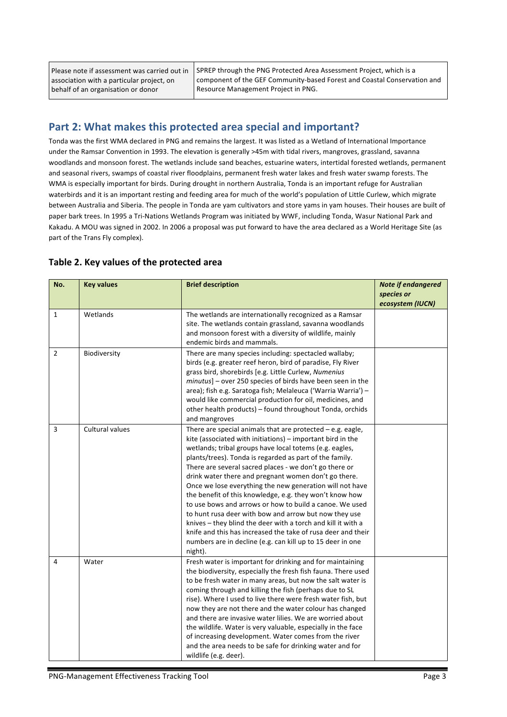Please note if assessment was carried out in association with a particular project, on behalf of an organisation or donor

SPREP through the PNG Protected Area Assessment Project, which is a component of the GEF Community-based Forest and Coastal Conservation and Resource Management Project in PNG.

## **Part 2: What makes this protected area special and important?**

Tonda was the first WMA declared in PNG and remains the largest. It was listed as a Wetland of International Importance under the Ramsar Convention in 1993. The elevation is generally >45m with tidal rivers, mangroves, grassland, savanna woodlands and monsoon forest. The wetlands include sand beaches, estuarine waters, intertidal forested wetlands, permanent and seasonal rivers, swamps of coastal river floodplains, permanent fresh water lakes and fresh water swamp forests. The WMA is especially important for birds. During drought in northern Australia, Tonda is an important refuge for Australian waterbirds and it is an important resting and feeding area for much of the world's population of Little Curlew, which migrate between Australia and Siberia. The people in Tonda are yam cultivators and store yams in yam houses. Their houses are built of paper bark trees. In 1995 a Tri-Nations Wetlands Program was initiated by WWF, including Tonda, Wasur National Park and Kakadu. A MOU was signed in 2002. In 2006 a proposal was put forward to have the area declared as a World Heritage Site (as part of the Trans Fly complex).

| No.            | <b>Key values</b> | <b>Brief description</b>                                                                                                                                                                                                                                                                                                                                                                                                                                                                                                                                                                                                                                                                                                                                                                                               | <b>Note if endangered</b><br>species or<br>ecosystem (IUCN) |
|----------------|-------------------|------------------------------------------------------------------------------------------------------------------------------------------------------------------------------------------------------------------------------------------------------------------------------------------------------------------------------------------------------------------------------------------------------------------------------------------------------------------------------------------------------------------------------------------------------------------------------------------------------------------------------------------------------------------------------------------------------------------------------------------------------------------------------------------------------------------------|-------------------------------------------------------------|
| $\mathbf{1}$   | Wetlands          | The wetlands are internationally recognized as a Ramsar<br>site. The wetlands contain grassland, savanna woodlands<br>and monsoon forest with a diversity of wildlife, mainly<br>endemic birds and mammals.                                                                                                                                                                                                                                                                                                                                                                                                                                                                                                                                                                                                            |                                                             |
| $\overline{2}$ | Biodiversity      | There are many species including: spectacled wallaby;<br>birds (e.g. greater reef heron, bird of paradise, Fly River<br>grass bird, shorebirds [e.g. Little Curlew, Numenius<br>minutus] - over 250 species of birds have been seen in the<br>area); fish e.g. Saratoga fish; Melaleuca ('Warria Warria') -<br>would like commercial production for oil, medicines, and<br>other health products) - found throughout Tonda, orchids<br>and mangroves                                                                                                                                                                                                                                                                                                                                                                   |                                                             |
| 3              | Cultural values   | There are special animals that are protected $-$ e.g. eagle,<br>kite (associated with initiations) - important bird in the<br>wetlands; tribal groups have local totems (e.g. eagles,<br>plants/trees). Tonda is regarded as part of the family.<br>There are several sacred places - we don't go there or<br>drink water there and pregnant women don't go there.<br>Once we lose everything the new generation will not have<br>the benefit of this knowledge, e.g. they won't know how<br>to use bows and arrows or how to build a canoe. We used<br>to hunt rusa deer with bow and arrow but now they use<br>knives - they blind the deer with a torch and kill it with a<br>knife and this has increased the take of rusa deer and their<br>numbers are in decline (e.g. can kill up to 15 deer in one<br>night). |                                                             |
| 4              | Water             | Fresh water is important for drinking and for maintaining<br>the biodiversity, especially the fresh fish fauna. There used<br>to be fresh water in many areas, but now the salt water is<br>coming through and killing the fish (perhaps due to SL<br>rise). Where I used to live there were fresh water fish, but<br>now they are not there and the water colour has changed<br>and there are invasive water lilies. We are worried about<br>the wildlife. Water is very valuable, especially in the face<br>of increasing development. Water comes from the river<br>and the area needs to be safe for drinking water and for<br>wildlife (e.g. deer).                                                                                                                                                               |                                                             |

#### Table 2. Key values of the protected area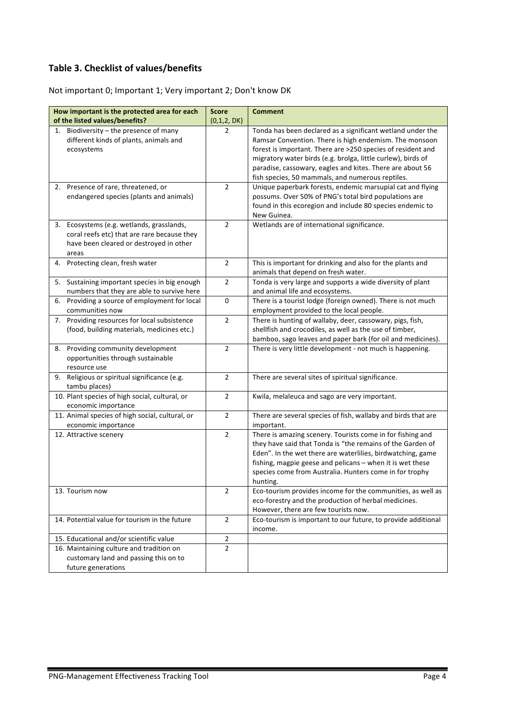### **Table 3. Checklist of values/benefits**

Not important 0; Important 1; Very important 2; Don't know DK

| How important is the protected area for each                                                                                                    | <b>Score</b>   | <b>Comment</b>                                                                                                                                                                                                                                                                                                                                                       |
|-------------------------------------------------------------------------------------------------------------------------------------------------|----------------|----------------------------------------------------------------------------------------------------------------------------------------------------------------------------------------------------------------------------------------------------------------------------------------------------------------------------------------------------------------------|
| of the listed values/benefits?                                                                                                                  | (0,1,2, DK)    |                                                                                                                                                                                                                                                                                                                                                                      |
| 1. Biodiversity $-$ the presence of many<br>different kinds of plants, animals and<br>ecosystems                                                | 2              | Tonda has been declared as a significant wetland under the<br>Ramsar Convention. There is high endemism. The monsoon<br>forest is important. There are >250 species of resident and<br>migratory water birds (e.g. brolga, little curlew), birds of<br>paradise, cassowary, eagles and kites. There are about 56<br>fish species, 50 mammals, and numerous reptiles. |
| 2. Presence of rare, threatened, or<br>endangered species (plants and animals)                                                                  | $\overline{2}$ | Unique paperbark forests, endemic marsupial cat and flying<br>possums. Over 50% of PNG's total bird populations are<br>found in this ecoregion and include 80 species endemic to<br>New Guinea.                                                                                                                                                                      |
| Ecosystems (e.g. wetlands, grasslands,<br>3.<br>coral reefs etc) that are rare because they<br>have been cleared or destroyed in other<br>areas | $\overline{2}$ | Wetlands are of international significance.                                                                                                                                                                                                                                                                                                                          |
| 4. Protecting clean, fresh water                                                                                                                | $\overline{2}$ | This is important for drinking and also for the plants and<br>animals that depend on fresh water.                                                                                                                                                                                                                                                                    |
| 5. Sustaining important species in big enough<br>numbers that they are able to survive here                                                     | $\overline{2}$ | Tonda is very large and supports a wide diversity of plant<br>and animal life and ecosystems.                                                                                                                                                                                                                                                                        |
| Providing a source of employment for local<br>6.<br>communities now                                                                             | $\mathbf 0$    | There is a tourist lodge (foreign owned). There is not much<br>employment provided to the local people.                                                                                                                                                                                                                                                              |
| 7. Providing resources for local subsistence<br>(food, building materials, medicines etc.)                                                      | $\overline{2}$ | There is hunting of wallaby, deer, cassowary, pigs, fish,<br>shellfish and crocodiles, as well as the use of timber,<br>bamboo, sago leaves and paper bark (for oil and medicines).                                                                                                                                                                                  |
| 8. Providing community development<br>opportunities through sustainable<br>resource use                                                         | $\overline{2}$ | There is very little development - not much is happening.                                                                                                                                                                                                                                                                                                            |
| 9. Religious or spiritual significance (e.g.<br>tambu places)                                                                                   | $\overline{2}$ | There are several sites of spiritual significance.                                                                                                                                                                                                                                                                                                                   |
| 10. Plant species of high social, cultural, or<br>economic importance                                                                           | $\mathbf 2$    | Kwila, melaleuca and sago are very important.                                                                                                                                                                                                                                                                                                                        |
| 11. Animal species of high social, cultural, or<br>economic importance                                                                          | $\overline{2}$ | There are several species of fish, wallaby and birds that are<br>important.                                                                                                                                                                                                                                                                                          |
| 12. Attractive scenery                                                                                                                          | $\overline{2}$ | There is amazing scenery. Tourists come in for fishing and<br>they have said that Tonda is "the remains of the Garden of<br>Eden". In the wet there are waterlilies, birdwatching, game<br>fishing, magpie geese and pelicans - when it is wet these<br>species come from Australia. Hunters come in for trophy<br>hunting.                                          |
| 13. Tourism now                                                                                                                                 | 2              | Eco-tourism provides income for the communities, as well as<br>eco-forestry and the production of herbal medicines.<br>However, there are few tourists now.                                                                                                                                                                                                          |
| 14. Potential value for tourism in the future                                                                                                   | $\overline{2}$ | Eco-tourism is important to our future, to provide additional<br>income.                                                                                                                                                                                                                                                                                             |
| 15. Educational and/or scientific value                                                                                                         | $\mathbf 2$    |                                                                                                                                                                                                                                                                                                                                                                      |
| 16. Maintaining culture and tradition on<br>customary land and passing this on to<br>future generations                                         | $\overline{2}$ |                                                                                                                                                                                                                                                                                                                                                                      |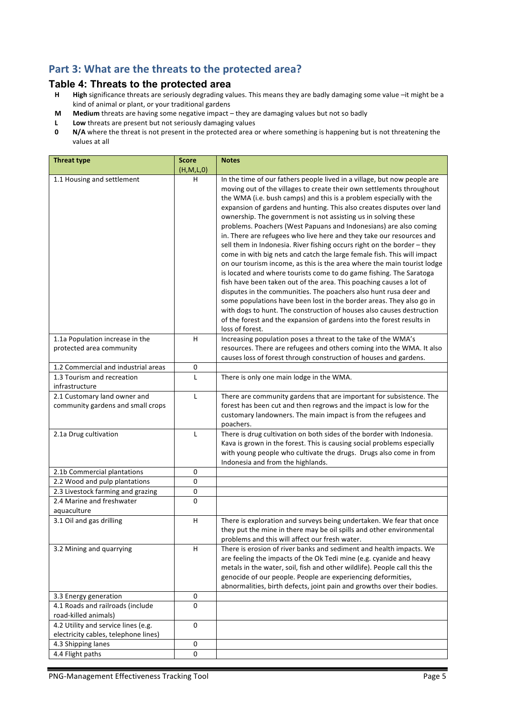## Part 3: What are the threats to the protected area?

# **Table 4: Threats to the protected area**<br>**H** High significance threats are seriously degrading va

- High significance threats are seriously degrading values. This means they are badly damaging some value -it might be a kind of animal or plant, or your traditional gardens
- **M** Medium threats are having some negative impact they are damaging values but not so badly
- **L** Low threats are present but not seriously damaging values<br>**0** N/A where the threat is not present in the protected area of
- **N/A** where the threat is not present in the protected area or where something is happening but is not threatening the values at all

| <b>Threat type</b>                                                          | <b>Score</b><br>(H, M, L, 0) | <b>Notes</b>                                                                                                                                                                                                                                                                                                                                                                                                                                                                                                                                                                                                                                                                                                                                                                                                                                                                                                                                                                                                                                                                                                                                                                                                       |
|-----------------------------------------------------------------------------|------------------------------|--------------------------------------------------------------------------------------------------------------------------------------------------------------------------------------------------------------------------------------------------------------------------------------------------------------------------------------------------------------------------------------------------------------------------------------------------------------------------------------------------------------------------------------------------------------------------------------------------------------------------------------------------------------------------------------------------------------------------------------------------------------------------------------------------------------------------------------------------------------------------------------------------------------------------------------------------------------------------------------------------------------------------------------------------------------------------------------------------------------------------------------------------------------------------------------------------------------------|
| 1.1 Housing and settlement                                                  | H                            | In the time of our fathers people lived in a village, but now people are<br>moving out of the villages to create their own settlements throughout<br>the WMA (i.e. bush camps) and this is a problem especially with the<br>expansion of gardens and hunting. This also creates disputes over land<br>ownership. The government is not assisting us in solving these<br>problems. Poachers (West Papuans and Indonesians) are also coming<br>in. There are refugees who live here and they take our resources and<br>sell them in Indonesia. River fishing occurs right on the border - they<br>come in with big nets and catch the large female fish. This will impact<br>on our tourism income, as this is the area where the main tourist lodge<br>is located and where tourists come to do game fishing. The Saratoga<br>fish have been taken out of the area. This poaching causes a lot of<br>disputes in the communities. The poachers also hunt rusa deer and<br>some populations have been lost in the border areas. They also go in<br>with dogs to hunt. The construction of houses also causes destruction<br>of the forest and the expansion of gardens into the forest results in<br>loss of forest. |
| 1.1a Population increase in the<br>protected area community                 | H                            | Increasing population poses a threat to the take of the WMA's<br>resources. There are refugees and others coming into the WMA. It also<br>causes loss of forest through construction of houses and gardens.                                                                                                                                                                                                                                                                                                                                                                                                                                                                                                                                                                                                                                                                                                                                                                                                                                                                                                                                                                                                        |
| 1.2 Commercial and industrial areas                                         | 0                            |                                                                                                                                                                                                                                                                                                                                                                                                                                                                                                                                                                                                                                                                                                                                                                                                                                                                                                                                                                                                                                                                                                                                                                                                                    |
| 1.3 Tourism and recreation<br>infrastructure                                | L                            | There is only one main lodge in the WMA.                                                                                                                                                                                                                                                                                                                                                                                                                                                                                                                                                                                                                                                                                                                                                                                                                                                                                                                                                                                                                                                                                                                                                                           |
| 2.1 Customary land owner and<br>community gardens and small crops           | L                            | There are community gardens that are important for subsistence. The<br>forest has been cut and then regrows and the impact is low for the<br>customary landowners. The main impact is from the refugees and<br>poachers.                                                                                                                                                                                                                                                                                                                                                                                                                                                                                                                                                                                                                                                                                                                                                                                                                                                                                                                                                                                           |
| 2.1a Drug cultivation                                                       | L                            | There is drug cultivation on both sides of the border with Indonesia.<br>Kava is grown in the forest. This is causing social problems especially<br>with young people who cultivate the drugs. Drugs also come in from<br>Indonesia and from the highlands.                                                                                                                                                                                                                                                                                                                                                                                                                                                                                                                                                                                                                                                                                                                                                                                                                                                                                                                                                        |
| 2.1b Commercial plantations                                                 | 0                            |                                                                                                                                                                                                                                                                                                                                                                                                                                                                                                                                                                                                                                                                                                                                                                                                                                                                                                                                                                                                                                                                                                                                                                                                                    |
| 2.2 Wood and pulp plantations                                               | 0                            |                                                                                                                                                                                                                                                                                                                                                                                                                                                                                                                                                                                                                                                                                                                                                                                                                                                                                                                                                                                                                                                                                                                                                                                                                    |
| 2.3 Livestock farming and grazing                                           | 0                            |                                                                                                                                                                                                                                                                                                                                                                                                                                                                                                                                                                                                                                                                                                                                                                                                                                                                                                                                                                                                                                                                                                                                                                                                                    |
| 2.4 Marine and freshwater<br>aquaculture                                    | 0                            |                                                                                                                                                                                                                                                                                                                                                                                                                                                                                                                                                                                                                                                                                                                                                                                                                                                                                                                                                                                                                                                                                                                                                                                                                    |
| 3.1 Oil and gas drilling                                                    | H                            | There is exploration and surveys being undertaken. We fear that once<br>they put the mine in there may be oil spills and other environmental<br>problems and this will affect our fresh water.                                                                                                                                                                                                                                                                                                                                                                                                                                                                                                                                                                                                                                                                                                                                                                                                                                                                                                                                                                                                                     |
| 3.2 Mining and quarrying                                                    | Н                            | There is erosion of river banks and sediment and health impacts. We<br>are feeling the impacts of the Ok Tedi mine (e.g. cyanide and heavy<br>metals in the water, soil, fish and other wildlife). People call this the<br>genocide of our people. People are experiencing deformities,<br>abnormalities, birth defects, joint pain and growths over their bodies.                                                                                                                                                                                                                                                                                                                                                                                                                                                                                                                                                                                                                                                                                                                                                                                                                                                 |
| 3.3 Energy generation                                                       | 0                            |                                                                                                                                                                                                                                                                                                                                                                                                                                                                                                                                                                                                                                                                                                                                                                                                                                                                                                                                                                                                                                                                                                                                                                                                                    |
| 4.1 Roads and railroads (include<br>road-killed animals)                    | 0                            |                                                                                                                                                                                                                                                                                                                                                                                                                                                                                                                                                                                                                                                                                                                                                                                                                                                                                                                                                                                                                                                                                                                                                                                                                    |
| 4.2 Utility and service lines (e.g.<br>electricity cables, telephone lines) | $\pmb{0}$                    |                                                                                                                                                                                                                                                                                                                                                                                                                                                                                                                                                                                                                                                                                                                                                                                                                                                                                                                                                                                                                                                                                                                                                                                                                    |
| 4.3 Shipping lanes                                                          | 0                            |                                                                                                                                                                                                                                                                                                                                                                                                                                                                                                                                                                                                                                                                                                                                                                                                                                                                                                                                                                                                                                                                                                                                                                                                                    |
| 4.4 Flight paths                                                            | 0                            |                                                                                                                                                                                                                                                                                                                                                                                                                                                                                                                                                                                                                                                                                                                                                                                                                                                                                                                                                                                                                                                                                                                                                                                                                    |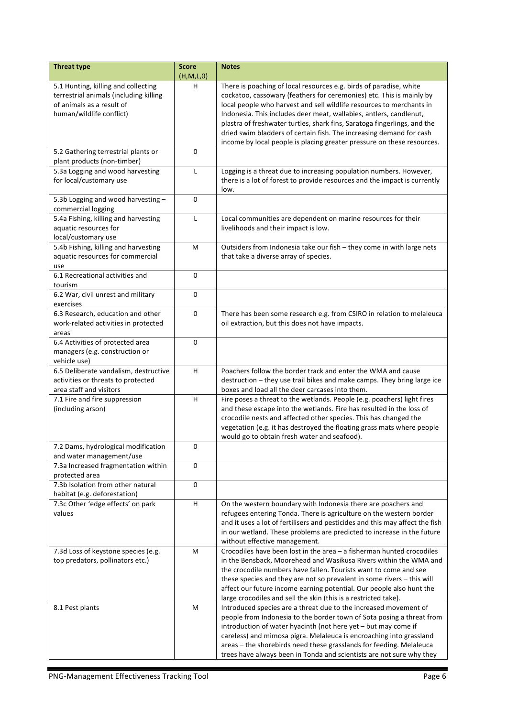| <b>Threat type</b>                                                                                                                     | <b>Score</b><br>(H,M,L,0) | <b>Notes</b>                                                                                                                                                                                                                                                                                                                                                                                                                                                                                                          |
|----------------------------------------------------------------------------------------------------------------------------------------|---------------------------|-----------------------------------------------------------------------------------------------------------------------------------------------------------------------------------------------------------------------------------------------------------------------------------------------------------------------------------------------------------------------------------------------------------------------------------------------------------------------------------------------------------------------|
| 5.1 Hunting, killing and collecting<br>terrestrial animals (including killing<br>of animals as a result of<br>human/wildlife conflict) | н                         | There is poaching of local resources e.g. birds of paradise, white<br>cockatoo, cassowary (feathers for ceremonies) etc. This is mainly by<br>local people who harvest and sell wildlife resources to merchants in<br>Indonesia. This includes deer meat, wallabies, antlers, candlenut,<br>plastra of freshwater turtles, shark fins, Saratoga fingerlings, and the<br>dried swim bladders of certain fish. The increasing demand for cash<br>income by local people is placing greater pressure on these resources. |
| 5.2 Gathering terrestrial plants or<br>plant products (non-timber)                                                                     | 0                         |                                                                                                                                                                                                                                                                                                                                                                                                                                                                                                                       |
| 5.3a Logging and wood harvesting<br>for local/customary use                                                                            | L                         | Logging is a threat due to increasing population numbers. However,<br>there is a lot of forest to provide resources and the impact is currently<br>low.                                                                                                                                                                                                                                                                                                                                                               |
| 5.3b Logging and wood harvesting -<br>commercial logging                                                                               | 0                         |                                                                                                                                                                                                                                                                                                                                                                                                                                                                                                                       |
| 5.4a Fishing, killing and harvesting<br>aquatic resources for<br>local/customary use                                                   | L                         | Local communities are dependent on marine resources for their<br>livelihoods and their impact is low.                                                                                                                                                                                                                                                                                                                                                                                                                 |
| 5.4b Fishing, killing and harvesting<br>aquatic resources for commercial<br>use                                                        | M                         | Outsiders from Indonesia take our fish - they come in with large nets<br>that take a diverse array of species.                                                                                                                                                                                                                                                                                                                                                                                                        |
| 6.1 Recreational activities and<br>tourism                                                                                             | 0                         |                                                                                                                                                                                                                                                                                                                                                                                                                                                                                                                       |
| 6.2 War, civil unrest and military<br>exercises                                                                                        | 0                         |                                                                                                                                                                                                                                                                                                                                                                                                                                                                                                                       |
| 6.3 Research, education and other<br>work-related activities in protected<br>areas                                                     | 0                         | There has been some research e.g. from CSIRO in relation to melaleuca<br>oil extraction, but this does not have impacts.                                                                                                                                                                                                                                                                                                                                                                                              |
| 6.4 Activities of protected area<br>managers (e.g. construction or<br>vehicle use)                                                     | 0                         |                                                                                                                                                                                                                                                                                                                                                                                                                                                                                                                       |
| 6.5 Deliberate vandalism, destructive<br>activities or threats to protected<br>area staff and visitors                                 | H                         | Poachers follow the border track and enter the WMA and cause<br>destruction - they use trail bikes and make camps. They bring large ice<br>boxes and load all the deer carcases into them.                                                                                                                                                                                                                                                                                                                            |
| 7.1 Fire and fire suppression<br>(including arson)                                                                                     | н                         | Fire poses a threat to the wetlands. People (e.g. poachers) light fires<br>and these escape into the wetlands. Fire has resulted in the loss of<br>crocodile nests and affected other species. This has changed the<br>vegetation (e.g. it has destroyed the floating grass mats where people<br>would go to obtain fresh water and seafood).                                                                                                                                                                         |
| 7.2 Dams, hydrological modification<br>and water management/use                                                                        | $\pmb{0}$                 |                                                                                                                                                                                                                                                                                                                                                                                                                                                                                                                       |
| 7.3a Increased fragmentation within<br>protected area                                                                                  | 0                         |                                                                                                                                                                                                                                                                                                                                                                                                                                                                                                                       |
| 7.3b Isolation from other natural<br>habitat (e.g. deforestation)                                                                      | 0                         |                                                                                                                                                                                                                                                                                                                                                                                                                                                                                                                       |
| 7.3c Other 'edge effects' on park<br>values                                                                                            | H                         | On the western boundary with Indonesia there are poachers and<br>refugees entering Tonda. There is agriculture on the western border<br>and it uses a lot of fertilisers and pesticides and this may affect the fish<br>in our wetland. These problems are predicted to increase in the future<br>without effective management.                                                                                                                                                                                       |
| 7.3d Loss of keystone species (e.g.<br>top predators, pollinators etc.)                                                                | M                         | Crocodiles have been lost in the area $-$ a fisherman hunted crocodiles<br>in the Bensback, Moorehead and Wasikusa Rivers within the WMA and<br>the crocodile numbers have fallen. Tourists want to come and see<br>these species and they are not so prevalent in some rivers $-$ this will<br>affect our future income earning potential. Our people also hunt the<br>large crocodiles and sell the skin (this is a restricted take).                                                                               |
| 8.1 Pest plants                                                                                                                        | М                         | Introduced species are a threat due to the increased movement of<br>people from Indonesia to the border town of Sota posing a threat from<br>introduction of water hyacinth (not here yet - but may come if<br>careless) and mimosa pigra. Melaleuca is encroaching into grassland<br>areas - the shorebirds need these grasslands for feeding. Melaleuca<br>trees have always been in Tonda and scientists are not sure why they                                                                                     |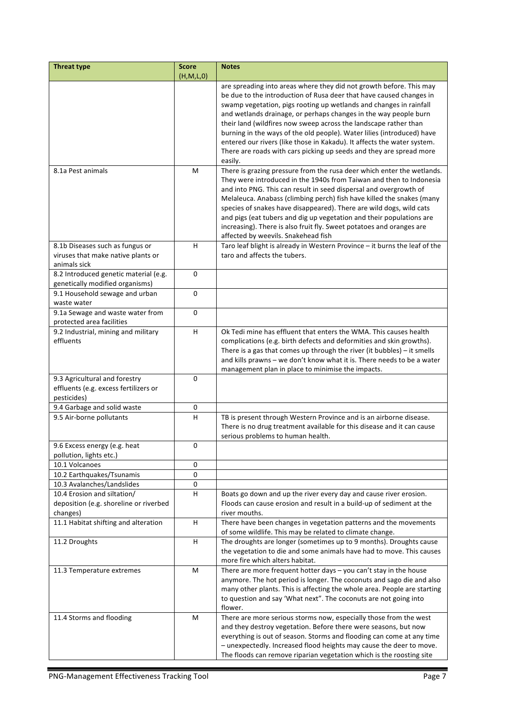| <b>Threat type</b>                     | <b>Score</b> | <b>Notes</b>                                                               |
|----------------------------------------|--------------|----------------------------------------------------------------------------|
|                                        | (H, M, L, 0) |                                                                            |
|                                        |              | are spreading into areas where they did not growth before. This may        |
|                                        |              | be due to the introduction of Rusa deer that have caused changes in        |
|                                        |              | swamp vegetation, pigs rooting up wetlands and changes in rainfall         |
|                                        |              | and wetlands drainage, or perhaps changes in the way people burn           |
|                                        |              | their land (wildfires now sweep across the landscape rather than           |
|                                        |              | burning in the ways of the old people). Water lilies (introduced) have     |
|                                        |              | entered our rivers (like those in Kakadu). It affects the water system.    |
|                                        |              | There are roads with cars picking up seeds and they are spread more        |
|                                        |              | easily.                                                                    |
| 8.1a Pest animals                      | М            | There is grazing pressure from the rusa deer which enter the wetlands.     |
|                                        |              | They were introduced in the 1940s from Taiwan and then to Indonesia        |
|                                        |              | and into PNG. This can result in seed dispersal and overgrowth of          |
|                                        |              | Melaleuca. Anabass (climbing perch) fish have killed the snakes (many      |
|                                        |              | species of snakes have disappeared). There are wild dogs, wild cats        |
|                                        |              | and pigs (eat tubers and dig up vegetation and their populations are       |
|                                        |              | increasing). There is also fruit fly. Sweet potatoes and oranges are       |
|                                        |              | affected by weevils. Snakehead fish                                        |
| 8.1b Diseases such as fungus or        | н            | Taro leaf blight is already in Western Province - it burns the leaf of the |
| viruses that make native plants or     |              | taro and affects the tubers.                                               |
| animals sick                           |              |                                                                            |
| 8.2 Introduced genetic material (e.g.  | $\Omega$     |                                                                            |
| genetically modified organisms)        |              |                                                                            |
| 9.1 Household sewage and urban         | 0            |                                                                            |
| waste water                            |              |                                                                            |
| 9.1a Sewage and waste water from       | 0            |                                                                            |
| protected area facilities              |              |                                                                            |
| 9.2 Industrial, mining and military    | H            | Ok Tedi mine has effluent that enters the WMA. This causes health          |
| effluents                              |              | complications (e.g. birth defects and deformities and skin growths).       |
|                                        |              | There is a gas that comes up through the river (it bubbles) $-$ it smells  |
|                                        |              | and kills prawns - we don't know what it is. There needs to be a water     |
|                                        |              | management plan in place to minimise the impacts.                          |
| 9.3 Agricultural and forestry          | 0            |                                                                            |
| effluents (e.g. excess fertilizers or  |              |                                                                            |
| pesticides)                            |              |                                                                            |
| 9.4 Garbage and solid waste            | 0            |                                                                            |
| 9.5 Air-borne pollutants               | н            | TB is present through Western Province and is an airborne disease.         |
|                                        |              | There is no drug treatment available for this disease and it can cause     |
|                                        |              | serious problems to human health.                                          |
| 9.6 Excess energy (e.g. heat           | 0            |                                                                            |
| pollution, lights etc.)                |              |                                                                            |
| 10.1 Volcanoes                         | 0            |                                                                            |
| 10.2 Earthquakes/Tsunamis              | 0            |                                                                            |
| 10.3 Avalanches/Landslides             | 0            |                                                                            |
| 10.4 Erosion and siltation/            | H            | Boats go down and up the river every day and cause river erosion.          |
| deposition (e.g. shoreline or riverbed |              | Floods can cause erosion and result in a build-up of sediment at the       |
| changes)                               |              | river mouths.                                                              |
| 11.1 Habitat shifting and alteration   | H            | There have been changes in vegetation patterns and the movements           |
|                                        |              | of some wildlife. This may be related to climate change.                   |
| 11.2 Droughts                          | H.           | The droughts are longer (sometimes up to 9 months). Droughts cause         |
|                                        |              | the vegetation to die and some animals have had to move. This causes       |
|                                        |              | more fire which alters habitat.                                            |
| 11.3 Temperature extremes              | М            | There are more frequent hotter days $-$ you can't stay in the house        |
|                                        |              | anymore. The hot period is longer. The coconuts and sago die and also      |
|                                        |              | many other plants. This is affecting the whole area. People are starting   |
|                                        |              | to question and say 'What next". The coconuts are not going into           |
|                                        |              | flower.                                                                    |
| 11.4 Storms and flooding               | М            | There are more serious storms now, especially those from the west          |
|                                        |              | and they destroy vegetation. Before there were seasons, but now            |
|                                        |              | everything is out of season. Storms and flooding can come at any time      |
|                                        |              |                                                                            |
|                                        |              | - unexpectedly. Increased flood heights may cause the deer to move.        |
|                                        |              | The floods can remove riparian vegetation which is the roosting site       |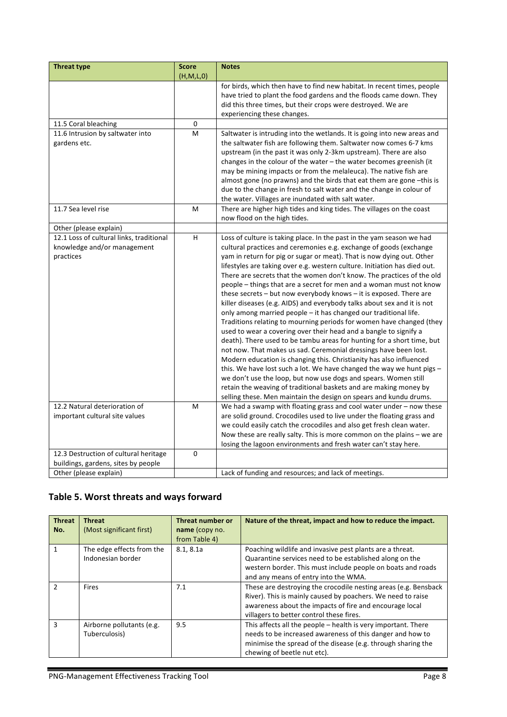| <b>Threat type</b>                       | <b>Score</b> | <b>Notes</b>                                                                                                                                  |
|------------------------------------------|--------------|-----------------------------------------------------------------------------------------------------------------------------------------------|
|                                          | (H,M,L,0)    |                                                                                                                                               |
|                                          |              | for birds, which then have to find new habitat. In recent times, people                                                                       |
|                                          |              | have tried to plant the food gardens and the floods came down. They                                                                           |
|                                          |              | did this three times, but their crops were destroyed. We are                                                                                  |
|                                          |              | experiencing these changes.                                                                                                                   |
| 11.5 Coral bleaching                     | 0            |                                                                                                                                               |
| 11.6 Intrusion by saltwater into         | M            | Saltwater is intruding into the wetlands. It is going into new areas and                                                                      |
| gardens etc.                             |              | the saltwater fish are following them. Saltwater now comes 6-7 kms                                                                            |
|                                          |              | upstream (in the past it was only 2-3km upstream). There are also                                                                             |
|                                          |              | changes in the colour of the water - the water becomes greenish (it                                                                           |
|                                          |              | may be mining impacts or from the melaleuca). The native fish are                                                                             |
|                                          |              | almost gone (no prawns) and the birds that eat them are gone -this is<br>due to the change in fresh to salt water and the change in colour of |
|                                          |              | the water. Villages are inundated with salt water.                                                                                            |
| 11.7 Sea level rise                      | M            | There are higher high tides and king tides. The villages on the coast                                                                         |
|                                          |              | now flood on the high tides.                                                                                                                  |
| Other (please explain)                   |              |                                                                                                                                               |
| 12.1 Loss of cultural links, traditional | H            | Loss of culture is taking place. In the past in the yam season we had                                                                         |
| knowledge and/or management              |              | cultural practices and ceremonies e.g. exchange of goods (exchange                                                                            |
| practices                                |              | yam in return for pig or sugar or meat). That is now dying out. Other                                                                         |
|                                          |              | lifestyles are taking over e.g. western culture. Initiation has died out.                                                                     |
|                                          |              | There are secrets that the women don't know. The practices of the old                                                                         |
|                                          |              | people - things that are a secret for men and a woman must not know                                                                           |
|                                          |              | these secrets - but now everybody knows - it is exposed. There are                                                                            |
|                                          |              | killer diseases (e.g. AIDS) and everybody talks about sex and it is not                                                                       |
|                                          |              | only among married people - it has changed our traditional life.                                                                              |
|                                          |              | Traditions relating to mourning periods for women have changed (they                                                                          |
|                                          |              | used to wear a covering over their head and a bangle to signify a                                                                             |
|                                          |              | death). There used to be tambu areas for hunting for a short time, but                                                                        |
|                                          |              | not now. That makes us sad. Ceremonial dressings have been lost.                                                                              |
|                                          |              | Modern education is changing this. Christianity has also influenced                                                                           |
|                                          |              | this. We have lost such a lot. We have changed the way we hunt pigs $-$                                                                       |
|                                          |              | we don't use the loop, but now use dogs and spears. Women still                                                                               |
|                                          |              | retain the weaving of traditional baskets and are making money by                                                                             |
|                                          |              | selling these. Men maintain the design on spears and kundu drums.                                                                             |
| 12.2 Natural deterioration of            | M            | We had a swamp with floating grass and cool water under $-$ now these                                                                         |
| important cultural site values           |              | are solid ground. Crocodiles used to live under the floating grass and                                                                        |
|                                          |              | we could easily catch the crocodiles and also get fresh clean water.                                                                          |
|                                          |              | Now these are really salty. This is more common on the plains - we are                                                                        |
|                                          |              | losing the lagoon environments and fresh water can't stay here.                                                                               |
| 12.3 Destruction of cultural heritage    | $\mathbf 0$  |                                                                                                                                               |
| buildings, gardens, sites by people      |              |                                                                                                                                               |
| Other (please explain)                   |              | Lack of funding and resources; and lack of meetings.                                                                                          |

## Table 5. Worst threats and ways forward

| <b>Threat</b><br>No. | <b>Threat</b><br>(Most significant first)      | Threat number or<br>name (copy no.<br>from Table 4) | Nature of the threat, impact and how to reduce the impact.                                                                                                                                                                            |
|----------------------|------------------------------------------------|-----------------------------------------------------|---------------------------------------------------------------------------------------------------------------------------------------------------------------------------------------------------------------------------------------|
| 1                    | The edge effects from the<br>Indonesian border | 8.1, 8.1a                                           | Poaching wildlife and invasive pest plants are a threat.<br>Quarantine services need to be established along on the<br>western border. This must include people on boats and roads<br>and any means of entry into the WMA.            |
| $\mathcal{P}$        | <b>Fires</b>                                   | 7.1                                                 | These are destroying the crocodile nesting areas (e.g. Bensback<br>River). This is mainly caused by poachers. We need to raise<br>awareness about the impacts of fire and encourage local<br>villagers to better control these fires. |
| $\mathbf{a}$         | Airborne pollutants (e.g.<br>Tuberculosis)     | 9.5                                                 | This affects all the people $-$ health is very important. There<br>needs to be increased awareness of this danger and how to<br>minimise the spread of the disease (e.g. through sharing the<br>chewing of beetle nut etc).           |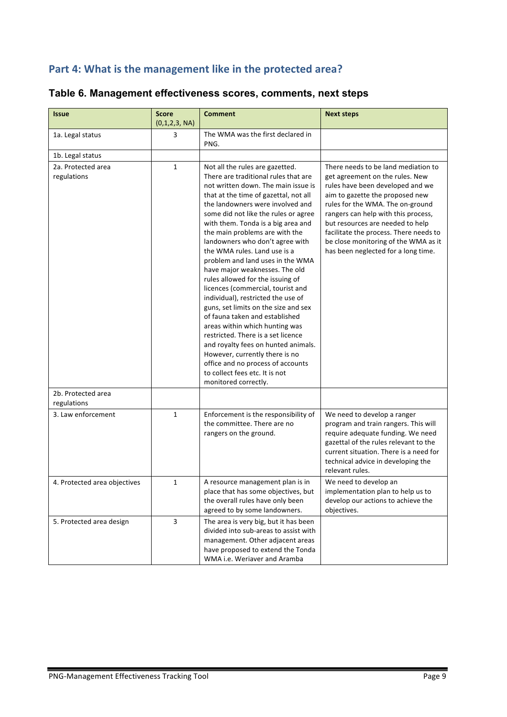## Part 4: What is the management like in the protected area?

| Table 6. Management effectiveness scores, comments, next steps |  |  |
|----------------------------------------------------------------|--|--|
|----------------------------------------------------------------|--|--|

| <b>Issue</b>                      | <b>Score</b><br>(0,1,2,3, NA) | <b>Comment</b>                                                                                                                                                                                                                                                                                                                                                                                                                                                                                                                                                                                                                                                                                                                                                                                                                                                                                | <b>Next steps</b>                                                                                                                                                                                                                                                                                                                                                                     |
|-----------------------------------|-------------------------------|-----------------------------------------------------------------------------------------------------------------------------------------------------------------------------------------------------------------------------------------------------------------------------------------------------------------------------------------------------------------------------------------------------------------------------------------------------------------------------------------------------------------------------------------------------------------------------------------------------------------------------------------------------------------------------------------------------------------------------------------------------------------------------------------------------------------------------------------------------------------------------------------------|---------------------------------------------------------------------------------------------------------------------------------------------------------------------------------------------------------------------------------------------------------------------------------------------------------------------------------------------------------------------------------------|
| 1a. Legal status                  | 3                             | The WMA was the first declared in<br>PNG.                                                                                                                                                                                                                                                                                                                                                                                                                                                                                                                                                                                                                                                                                                                                                                                                                                                     |                                                                                                                                                                                                                                                                                                                                                                                       |
| 1b. Legal status                  |                               |                                                                                                                                                                                                                                                                                                                                                                                                                                                                                                                                                                                                                                                                                                                                                                                                                                                                                               |                                                                                                                                                                                                                                                                                                                                                                                       |
| 2a. Protected area<br>regulations | $\mathbf{1}$                  | Not all the rules are gazetted.<br>There are traditional rules that are<br>not written down. The main issue is<br>that at the time of gazettal, not all<br>the landowners were involved and<br>some did not like the rules or agree<br>with them. Tonda is a big area and<br>the main problems are with the<br>landowners who don't agree with<br>the WMA rules. Land use is a<br>problem and land uses in the WMA<br>have major weaknesses. The old<br>rules allowed for the issuing of<br>licences (commercial, tourist and<br>individual), restricted the use of<br>guns, set limits on the size and sex<br>of fauna taken and established<br>areas within which hunting was<br>restricted. There is a set licence<br>and royalty fees on hunted animals.<br>However, currently there is no<br>office and no process of accounts<br>to collect fees etc. It is not<br>monitored correctly. | There needs to be land mediation to<br>get agreement on the rules. New<br>rules have been developed and we<br>aim to gazette the proposed new<br>rules for the WMA. The on-ground<br>rangers can help with this process,<br>but resources are needed to help<br>facilitate the process. There needs to<br>be close monitoring of the WMA as it<br>has been neglected for a long time. |
| 2b. Protected area<br>regulations |                               |                                                                                                                                                                                                                                                                                                                                                                                                                                                                                                                                                                                                                                                                                                                                                                                                                                                                                               |                                                                                                                                                                                                                                                                                                                                                                                       |
| 3. Law enforcement                | $\mathbf{1}$                  | Enforcement is the responsibility of<br>the committee. There are no<br>rangers on the ground.                                                                                                                                                                                                                                                                                                                                                                                                                                                                                                                                                                                                                                                                                                                                                                                                 | We need to develop a ranger<br>program and train rangers. This will<br>require adequate funding. We need<br>gazettal of the rules relevant to the<br>current situation. There is a need for<br>technical advice in developing the<br>relevant rules.                                                                                                                                  |
| 4. Protected area objectives      | 1                             | A resource management plan is in<br>place that has some objectives, but<br>the overall rules have only been<br>agreed to by some landowners.                                                                                                                                                                                                                                                                                                                                                                                                                                                                                                                                                                                                                                                                                                                                                  | We need to develop an<br>implementation plan to help us to<br>develop our actions to achieve the<br>objectives.                                                                                                                                                                                                                                                                       |
| 5. Protected area design          | $\mathbf{3}$                  | The area is very big, but it has been<br>divided into sub-areas to assist with<br>management. Other adjacent areas<br>have proposed to extend the Tonda<br>WMA i.e. Weriaver and Aramba                                                                                                                                                                                                                                                                                                                                                                                                                                                                                                                                                                                                                                                                                                       |                                                                                                                                                                                                                                                                                                                                                                                       |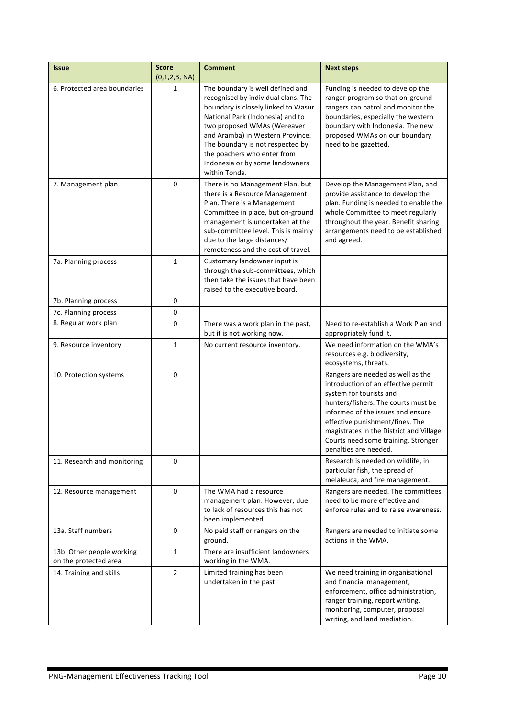| <b>Issue</b>                                       | <b>Score</b><br>(0,1,2,3, NA) | <b>Comment</b>                                                                                                                                                                                                                                                                                                                               | <b>Next steps</b>                                                                                                                                                                                                                                                                                                             |
|----------------------------------------------------|-------------------------------|----------------------------------------------------------------------------------------------------------------------------------------------------------------------------------------------------------------------------------------------------------------------------------------------------------------------------------------------|-------------------------------------------------------------------------------------------------------------------------------------------------------------------------------------------------------------------------------------------------------------------------------------------------------------------------------|
| 6. Protected area boundaries                       | 1                             | The boundary is well defined and<br>recognised by individual clans. The<br>boundary is closely linked to Wasur<br>National Park (Indonesia) and to<br>two proposed WMAs (Wereaver<br>and Aramba) in Western Province.<br>The boundary is not respected by<br>the poachers who enter from<br>Indonesia or by some landowners<br>within Tonda. | Funding is needed to develop the<br>ranger program so that on-ground<br>rangers can patrol and monitor the<br>boundaries, especially the western<br>boundary with Indonesia. The new<br>proposed WMAs on our boundary<br>need to be gazetted.                                                                                 |
| 7. Management plan                                 | 0                             | There is no Management Plan, but<br>there is a Resource Management<br>Plan. There is a Management<br>Committee in place, but on-ground<br>management is undertaken at the<br>sub-committee level. This is mainly<br>due to the large distances/<br>remoteness and the cost of travel.                                                        | Develop the Management Plan, and<br>provide assistance to develop the<br>plan. Funding is needed to enable the<br>whole Committee to meet regularly<br>throughout the year. Benefit sharing<br>arrangements need to be established<br>and agreed.                                                                             |
| 7a. Planning process                               | 1                             | Customary landowner input is<br>through the sub-committees, which<br>then take the issues that have been<br>raised to the executive board.                                                                                                                                                                                                   |                                                                                                                                                                                                                                                                                                                               |
| 7b. Planning process                               | 0                             |                                                                                                                                                                                                                                                                                                                                              |                                                                                                                                                                                                                                                                                                                               |
| 7c. Planning process                               | 0                             |                                                                                                                                                                                                                                                                                                                                              |                                                                                                                                                                                                                                                                                                                               |
| 8. Regular work plan                               | 0                             | There was a work plan in the past,<br>but it is not working now.                                                                                                                                                                                                                                                                             | Need to re-establish a Work Plan and<br>appropriately fund it.                                                                                                                                                                                                                                                                |
| 9. Resource inventory                              | 1                             | No current resource inventory.                                                                                                                                                                                                                                                                                                               | We need information on the WMA's<br>resources e.g. biodiversity,<br>ecosystems, threats.                                                                                                                                                                                                                                      |
| 10. Protection systems                             | 0                             |                                                                                                                                                                                                                                                                                                                                              | Rangers are needed as well as the<br>introduction of an effective permit<br>system for tourists and<br>hunters/fishers. The courts must be<br>informed of the issues and ensure<br>effective punishment/fines. The<br>magistrates in the District and Village<br>Courts need some training. Stronger<br>penalties are needed. |
| 11. Research and monitoring                        | 0                             |                                                                                                                                                                                                                                                                                                                                              | Research is needed on wildlife, in<br>particular fish, the spread of<br>melaleuca, and fire management.                                                                                                                                                                                                                       |
| 12. Resource management                            | 0                             | The WMA had a resource<br>management plan. However, due<br>to lack of resources this has not<br>been implemented.                                                                                                                                                                                                                            | Rangers are needed. The committees<br>need to be more effective and<br>enforce rules and to raise awareness.                                                                                                                                                                                                                  |
| 13a. Staff numbers                                 | 0                             | No paid staff or rangers on the<br>ground.                                                                                                                                                                                                                                                                                                   | Rangers are needed to initiate some<br>actions in the WMA.                                                                                                                                                                                                                                                                    |
| 13b. Other people working<br>on the protected area | 1                             | There are insufficient landowners<br>working in the WMA.                                                                                                                                                                                                                                                                                     |                                                                                                                                                                                                                                                                                                                               |
| 14. Training and skills                            | $\overline{2}$                | Limited training has been<br>undertaken in the past.                                                                                                                                                                                                                                                                                         | We need training in organisational<br>and financial management,<br>enforcement, office administration,<br>ranger training, report writing,<br>monitoring, computer, proposal<br>writing, and land mediation.                                                                                                                  |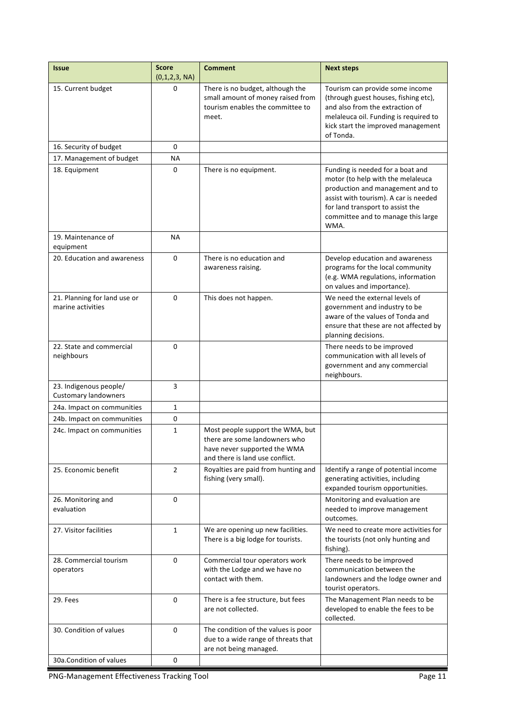| <b>Issue</b>                                          | <b>Score</b><br>(0,1,2,3, NA) | <b>Comment</b>                                                                                                                       | <b>Next steps</b>                                                                                                                                                                                                                    |
|-------------------------------------------------------|-------------------------------|--------------------------------------------------------------------------------------------------------------------------------------|--------------------------------------------------------------------------------------------------------------------------------------------------------------------------------------------------------------------------------------|
| 15. Current budget                                    | 0                             | There is no budget, although the<br>small amount of money raised from<br>tourism enables the committee to<br>meet.                   | Tourism can provide some income<br>(through guest houses, fishing etc),<br>and also from the extraction of<br>melaleuca oil. Funding is required to<br>kick start the improved management<br>of Tonda.                               |
| 16. Security of budget                                | $\Omega$                      |                                                                                                                                      |                                                                                                                                                                                                                                      |
| 17. Management of budget                              | <b>NA</b>                     |                                                                                                                                      |                                                                                                                                                                                                                                      |
| 18. Equipment                                         | 0                             | There is no equipment.                                                                                                               | Funding is needed for a boat and<br>motor (to help with the melaleuca<br>production and management and to<br>assist with tourism). A car is needed<br>for land transport to assist the<br>committee and to manage this large<br>WMA. |
| 19. Maintenance of<br>equipment                       | <b>NA</b>                     |                                                                                                                                      |                                                                                                                                                                                                                                      |
| 20. Education and awareness                           | 0                             | There is no education and<br>awareness raising.                                                                                      | Develop education and awareness<br>programs for the local community<br>(e.g. WMA regulations, information<br>on values and importance).                                                                                              |
| 21. Planning for land use or<br>marine activities     | 0                             | This does not happen.                                                                                                                | We need the external levels of<br>government and industry to be<br>aware of the values of Tonda and<br>ensure that these are not affected by<br>planning decisions.                                                                  |
| 22. State and commercial<br>neighbours                | $\Omega$                      |                                                                                                                                      | There needs to be improved<br>communication with all levels of<br>government and any commercial<br>neighbours.                                                                                                                       |
| 23. Indigenous people/<br><b>Customary landowners</b> | 3                             |                                                                                                                                      |                                                                                                                                                                                                                                      |
| 24a. Impact on communities                            | 1                             |                                                                                                                                      |                                                                                                                                                                                                                                      |
| 24b. Impact on communities                            | 0                             |                                                                                                                                      |                                                                                                                                                                                                                                      |
| 24c. Impact on communities                            | 1                             | Most people support the WMA, but<br>there are some landowners who<br>have never supported the WMA<br>and there is land use conflict. |                                                                                                                                                                                                                                      |
| 25. Economic benefit                                  | 2                             | Royalties are paid from hunting and<br>fishing (very small).                                                                         | Identify a range of potential income<br>generating activities, including<br>expanded tourism opportunities.                                                                                                                          |
| 26. Monitoring and<br>evaluation                      | 0                             |                                                                                                                                      | Monitoring and evaluation are<br>needed to improve management<br>outcomes.                                                                                                                                                           |
| 27. Visitor facilities                                | $\mathbf{1}$                  | We are opening up new facilities.<br>There is a big lodge for tourists.                                                              | We need to create more activities for<br>the tourists (not only hunting and<br>fishing).                                                                                                                                             |
| 28. Commercial tourism<br>operators                   | 0                             | Commercial tour operators work<br>with the Lodge and we have no<br>contact with them.                                                | There needs to be improved<br>communication between the<br>landowners and the lodge owner and<br>tourist operators.                                                                                                                  |
| 29. Fees                                              | 0                             | There is a fee structure, but fees<br>are not collected.                                                                             | The Management Plan needs to be<br>developed to enable the fees to be<br>collected.                                                                                                                                                  |
| 30. Condition of values                               | $\mathbf 0$                   | The condition of the values is poor<br>due to a wide range of threats that<br>are not being managed.                                 |                                                                                                                                                                                                                                      |
| 30a.Condition of values                               | 0                             |                                                                                                                                      |                                                                                                                                                                                                                                      |